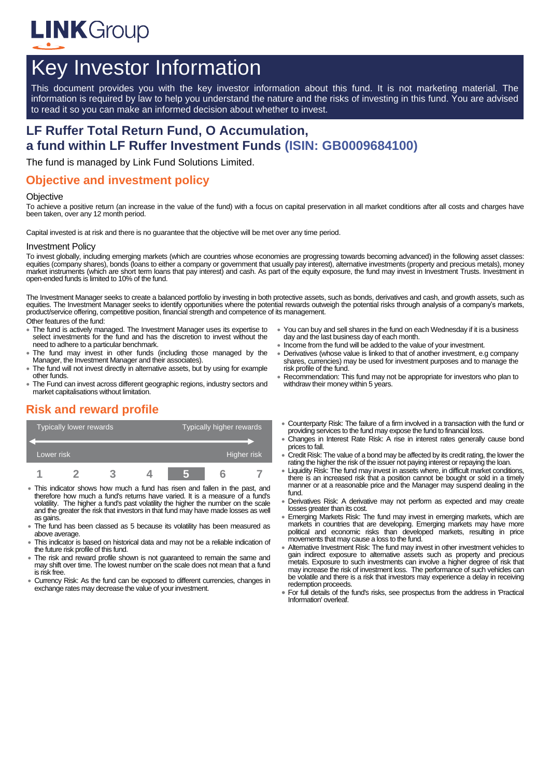

# Key Investor Information

This document provides you with the key investor information about this fund. It is not marketing material. The information is required by law to help you understand the nature and the risks of investing in this fund. You are advised to read it so you can make an informed decision about whether to invest.

# **LF Ruffer Total Return Fund, O Accumulation, a fund within LF Ruffer Investment Funds (ISIN: GB0009684100)**

The fund is managed by Link Fund Solutions Limited.

### **Objective and investment policy**

#### **Objective**

To achieve a positive return (an increase in the value of the fund) with a focus on capital preservation in all market conditions after all costs and charges have been taken, over any 12 month period.

Capital invested is at risk and there is no guarantee that the objective will be met over any time period.

#### Investment Policy

To invest globally, including emerging markets (which are countries whose economies are progressing towards becoming advanced) in the following asset classes: equities (company shares), bonds (loans to either a company or government that usually pay interest), alternative investments (property and precious metals), money market instruments (which are short term loans that pay interest) and cash. As part of the equity exposure, the fund may invest in Investment Trusts. Investment in open-ended funds is limited to 10% of the fund.

The Investment Manager seeks to create a balanced portfolio by investing in both protective assets, such as bonds, derivatives and cash, and growth assets, such as equities. The Investment Manager seeks to identify opportunities where the potential rewards outweigh the potential risks through analysis of a company's markets, product/service offering, competitive position, financial strength and competence of its management.

- Other features of the fund:
- The fund is actively managed. The Investment Manager uses its expertise to select investments for the fund and has the discretion to invest without the need to adhere to a particular benchmark.
- The fund may invest in other funds (including those managed by the Manager, the Investment Manager and their associates).
- The fund will not invest directly in alternative assets, but by using for example other funds.
- The Fund can invest across different geographic regions, industry sectors and market capitalisations without limitation.

# **Risk and reward profile**

| Typically lower rewards |  |  |  | Typically higher rewards |  |  |
|-------------------------|--|--|--|--------------------------|--|--|
| Lower risk              |  |  |  | Higher risk              |  |  |
|                         |  |  |  |                          |  |  |

- This indicator shows how much a fund has risen and fallen in the past, and therefore how much a fund's returns have varied. It is a measure of a fund's volatility. The higher a fund's past volatility the higher the number on the scale and the greater the risk that investors in that fund may have made losses as well as gains.
- The fund has been classed as 5 because its volatility has been measured as above average.
- This indicator is based on historical data and may not be a reliable indication of the future risk profile of this fund.
- The risk and reward profile shown is not guaranteed to remain the same and may shift over time. The lowest number on the scale does not mean that a fund is risk free.
- Currency Risk: As the fund can be exposed to different currencies, changes in exchange rates may decrease the value of your investment.
- You can buy and sell shares in the fund on each Wednesday if it is a business day and the last business day of each month.
- Income from the fund will be added to the value of your investment.
- Derivatives (whose value is linked to that of another investment, e.g company shares, currencies) may be used for investment purposes and to manage the risk profile of the fund.
- Recommendation: This fund may not be appropriate for investors who plan to withdraw their money within 5 years.
- Counterparty Risk: The failure of a firm involved in a transaction with the fund or providing services to the fund may expose the fund to financial loss.
- Changes in Interest Rate Risk: A rise in interest rates generally cause bond prices to fall.
- Credit Risk: The value of a bond may be affected by its credit rating, the lower the rating the higher the risk of the issuer not paying interest or repaying the loan.
- Liquidity Risk: The fund may invest in assets where, in difficult market conditions, there is an increased risk that a position cannot be bought or sold in a timely manner or at a reasonable price and the Manager may suspend dealing in the fund.
- Derivatives Risk: A derivative may not perform as expected and may create losses greater than its cost.
- Emerging Markets Risk: The fund may invest in emerging markets, which are markets in countries that are developing. Emerging markets may have more political and economic risks than developed markets, resulting in price movements that may cause a loss to the fund.
- Alternative Investment Risk: The fund may invest in other investment vehicles to gain indirect exposure to alternative assets such as property and precious metals. Exposure to such investments can involve a higher degree of risk that may increase the risk of investment loss. The performance of such vehicles can be volatile and there is a risk that investors may experience a delay in receiving redemption proceeds.
- For full details of the fund's risks, see prospectus from the address in 'Practical Information' overleaf.